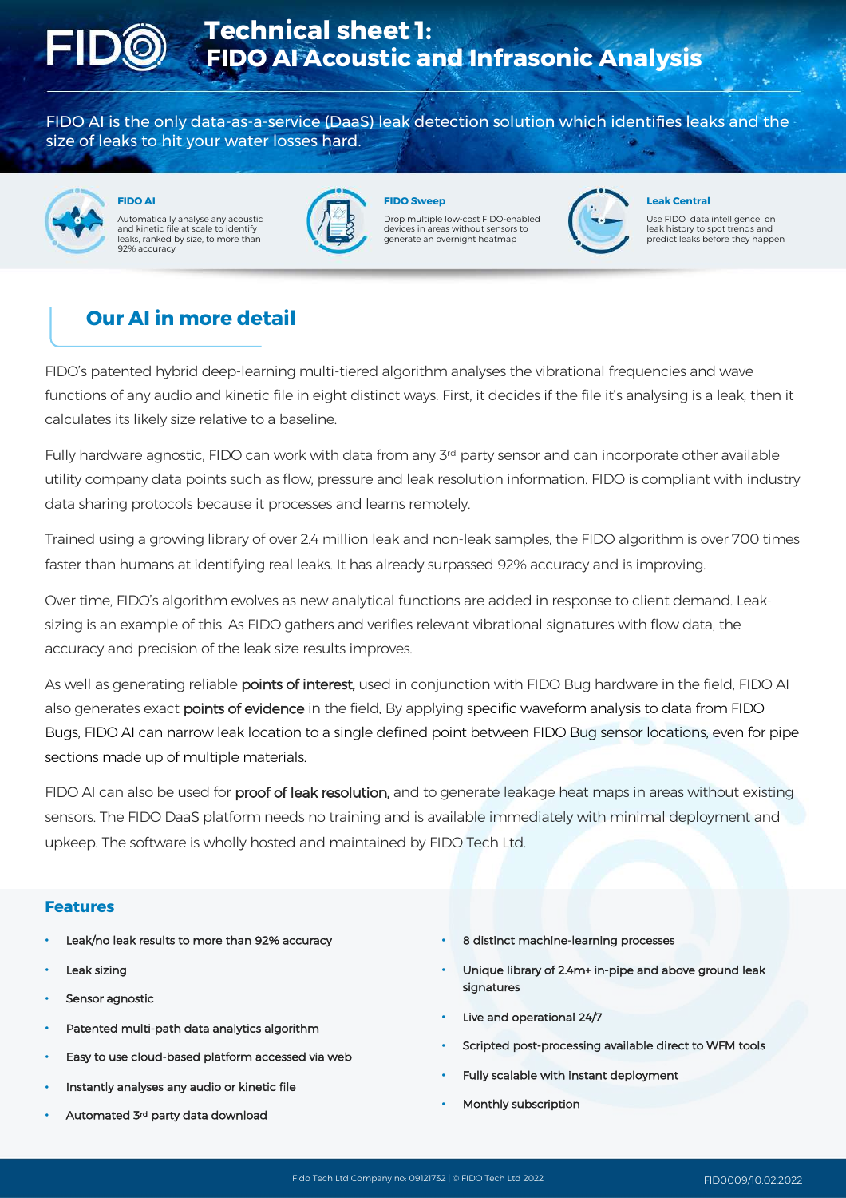

FIDO AI is the only data-as-a-service (DaaS) leak detection solution which identifies leaks and the size of leaks to hit your water losses hard.



**FIDO AI** Automatically analyse any acoustic and kinetic file at scale to identify leads in the court of resulting 92% accuracy



**FIDO Sweep**

Drop multiple low-cost FIDO-enabled devices in areas without sensors to nerate an overnight heatmap



**Leak Central**

Use FIDO data intelligence on leak history to spot trends and predict leaks before they happen

## **Our AI in more detail**

FIDO's patented hybrid deep-learning multi-tiered algorithm analyses the vibrational frequencies and wave functions of any audio and kinetic file in eight distinct ways. First, it decides if the file it's analysing is a leak, then it calculates its likely size relative to a baseline.

Fully hardware agnostic, FIDO can work with data from any 3<sup>rd</sup> party sensor and can incorporate other available utility company data points such as flow, pressure and leak resolution information. FIDO is compliant with industry data sharing protocols because it processes and learns remotely.

Trained using a growing library of over 2.4 million leak and non-leak samples, the FIDO algorithm is over 700 times faster than humans at identifying real leaks. It has already surpassed 92% accuracy and is improving.

Over time, FIDO's algorithm evolves as new analytical functions are added in response to client demand. Leaksizing is an example of this. As FIDO gathers and verifies relevant vibrational signatures with flow data, the accuracy and precision of the leak size results improves.

As well as generating reliable points of interest, used in conjunction with FIDO Bug hardware in the field, FIDO AI also generates exact **points of evidence** in the field. By applying specific waveform analysis to data from FIDO Bugs, FIDO AI can narrow leak location to a single defined point between FIDO Bug sensor locations, even for pipe sections made up of multiple materials.

FIDO AI can also be used for proof of leak resolution, and to generate leakage heat maps in areas without existing sensors. The FIDO DaaS platform needs no training and is available immediately with minimal deployment and upkeep. The software is wholly hosted and maintained by FIDO Tech Ltd.

#### **Features**

- Leak/no leak results to more than 92% accuracy
- Leak sizing
- Sensor agnostic
- Patented multi-path data analytics algorithm
- Easy to use cloud-based platform accessed via web
- Instantly analyses any audio or kinetic file
- Automated 3rd party data download
- 8 distinct machine-learning processes
- Unique library of 2.4m+ in-pipe and above ground leak signatures
- Live and operational 24/7
- Scripted post-processing available direct to WFM tools
- Fully scalable with instant deployment
- Monthly subscription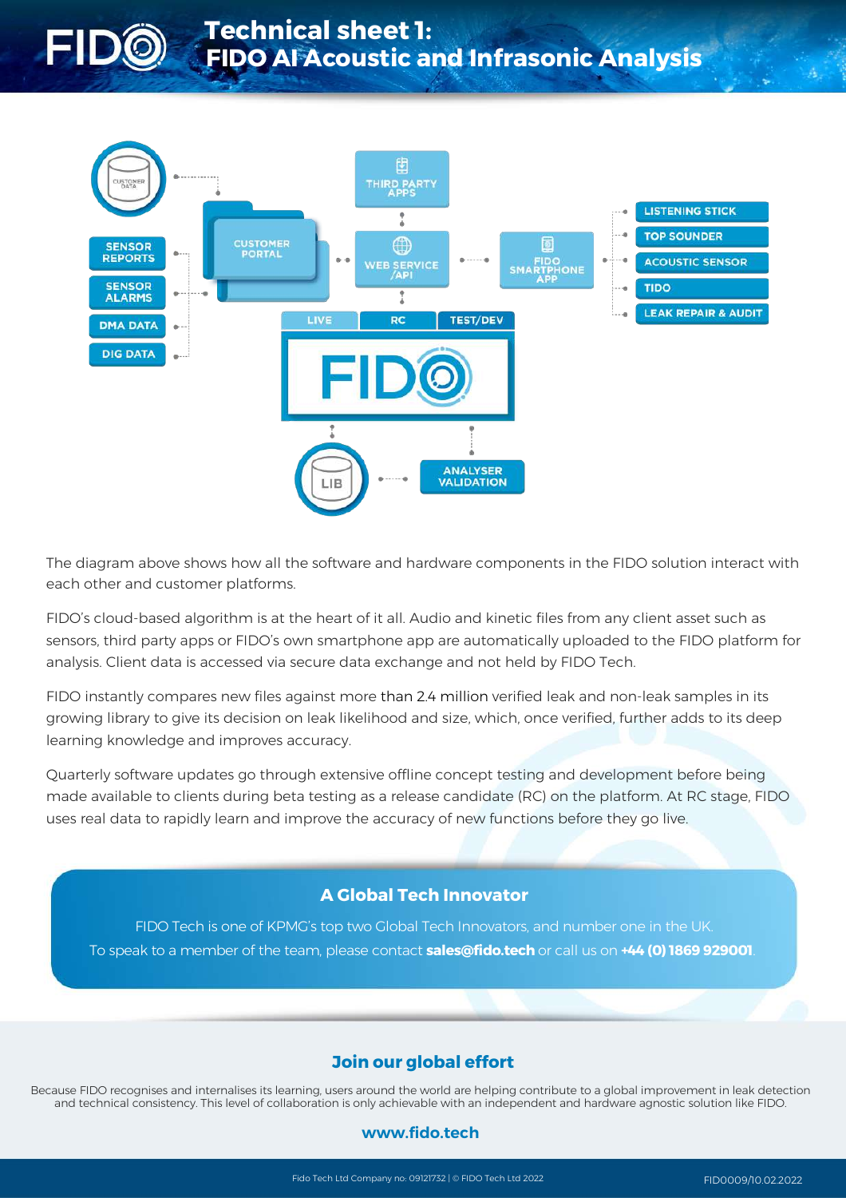



The diagram above shows how all the software and hardware components in the FIDO solution interact with each other and customer platforms.

FIDO's cloud-based algorithm is at the heart of it all. Audio and kinetic files from any client asset such as sensors, third party apps or FIDO's own smartphone app are automatically uploaded to the FIDO platform for analysis. Client data is accessed via secure data exchange and not held by FIDO Tech.

FIDO instantly compares new files against more than 2.4 million verified leak and non-leak samples in its growing library to give its decision on leak likelihood and size, which, once verified, further adds to its deep learning knowledge and improves accuracy.

Quarterly software updates go through extensive offline concept testing and development before being made available to clients during beta testing as a release candidate (RC) on the platform. At RC stage, FIDO uses real data to rapidly learn and improve the accuracy of new functions before they go live.

### **A Global Tech Innovator**

FIDO Tech is one of KPMG's top two Global Tech Innovators, and number one in the UK. To speak to a member of the team, please contact **sales@fido.tech** or call us on **+44 (0) 1869 929001**.

### **Join our global effort**

Because FIDO recognises and internalises its learning, users around the world are helping contribute to a global improvement in leak detection and technical consistency. This level of collaboration is only achievable with an independent and hardware agnostic solution like FIDO.

### **www.fido.tech**